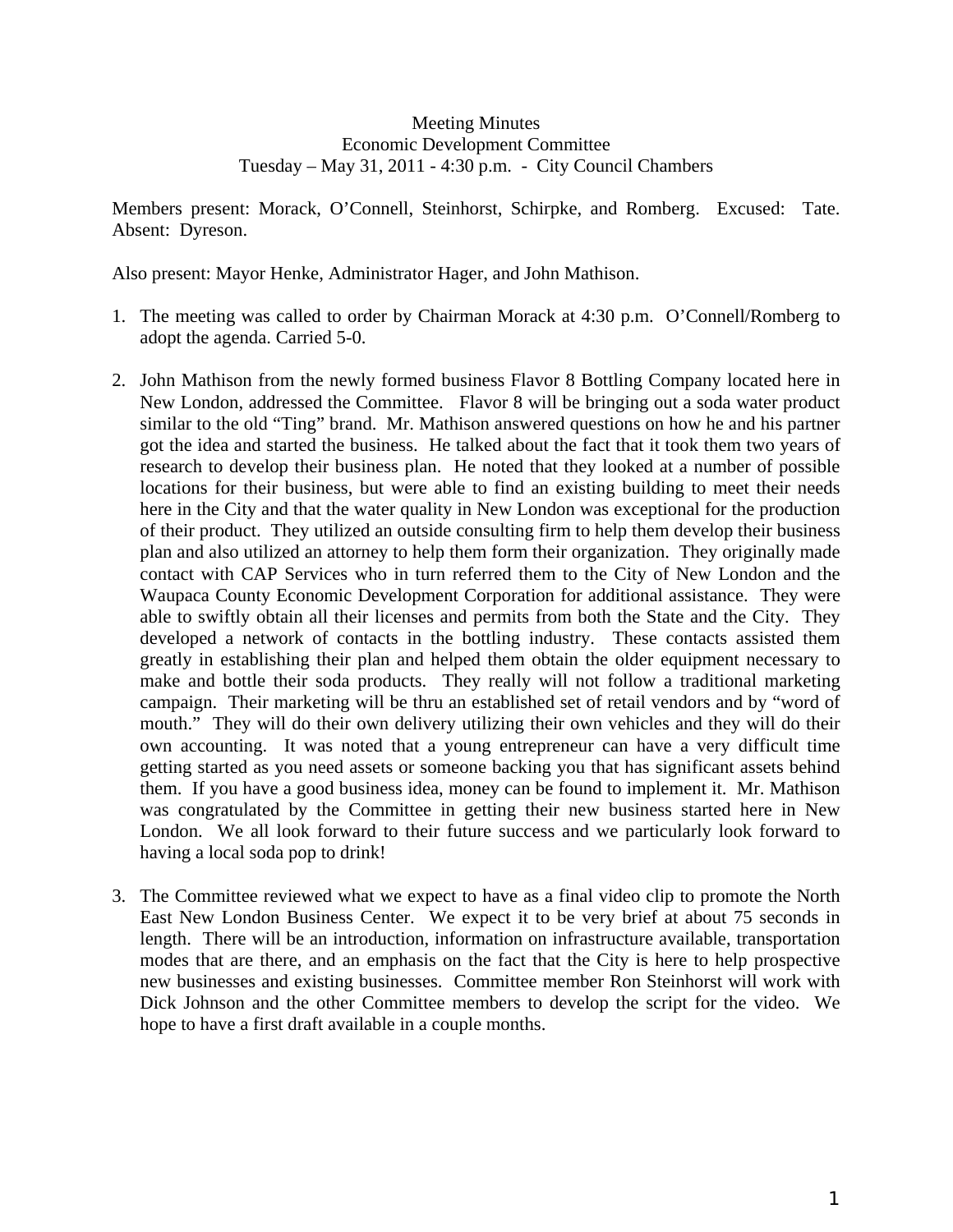## Meeting Minutes Economic Development Committee Tuesday – May 31, 2011 - 4:30 p.m. - City Council Chambers

Members present: Morack, O'Connell, Steinhorst, Schirpke, and Romberg. Excused: Tate. Absent: Dyreson.

Also present: Mayor Henke, Administrator Hager, and John Mathison.

- 1. The meeting was called to order by Chairman Morack at 4:30 p.m. O'Connell/Romberg to adopt the agenda. Carried 5-0.
- 2. John Mathison from the newly formed business Flavor 8 Bottling Company located here in New London, addressed the Committee. Flavor 8 will be bringing out a soda water product similar to the old "Ting" brand. Mr. Mathison answered questions on how he and his partner got the idea and started the business. He talked about the fact that it took them two years of research to develop their business plan. He noted that they looked at a number of possible locations for their business, but were able to find an existing building to meet their needs here in the City and that the water quality in New London was exceptional for the production of their product. They utilized an outside consulting firm to help them develop their business plan and also utilized an attorney to help them form their organization. They originally made contact with CAP Services who in turn referred them to the City of New London and the Waupaca County Economic Development Corporation for additional assistance. They were able to swiftly obtain all their licenses and permits from both the State and the City. They developed a network of contacts in the bottling industry. These contacts assisted them greatly in establishing their plan and helped them obtain the older equipment necessary to make and bottle their soda products. They really will not follow a traditional marketing campaign. Their marketing will be thru an established set of retail vendors and by "word of mouth." They will do their own delivery utilizing their own vehicles and they will do their own accounting. It was noted that a young entrepreneur can have a very difficult time getting started as you need assets or someone backing you that has significant assets behind them. If you have a good business idea, money can be found to implement it. Mr. Mathison was congratulated by the Committee in getting their new business started here in New London. We all look forward to their future success and we particularly look forward to having a local soda pop to drink!
- 3. The Committee reviewed what we expect to have as a final video clip to promote the North East New London Business Center. We expect it to be very brief at about 75 seconds in length. There will be an introduction, information on infrastructure available, transportation modes that are there, and an emphasis on the fact that the City is here to help prospective new businesses and existing businesses. Committee member Ron Steinhorst will work with Dick Johnson and the other Committee members to develop the script for the video. We hope to have a first draft available in a couple months.